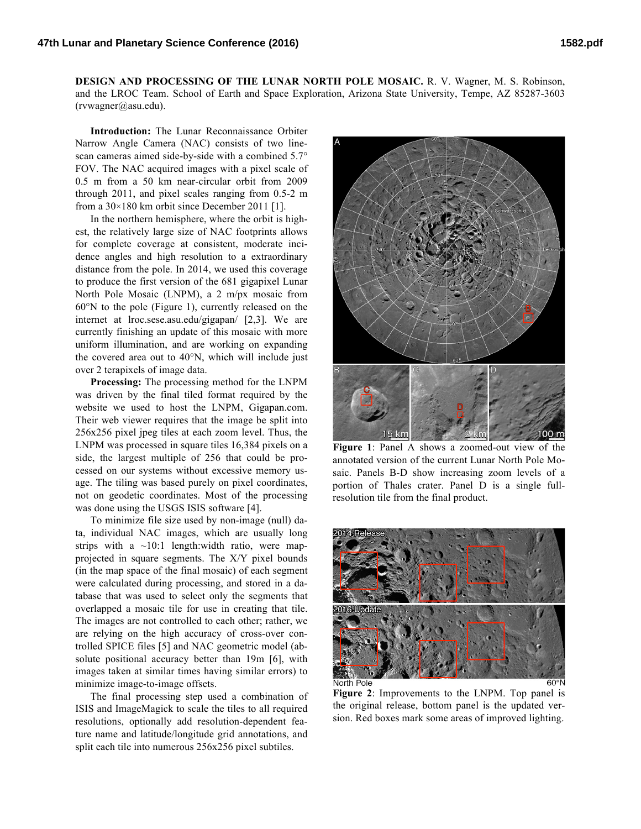**DESIGN AND PROCESSING OF THE LUNAR NORTH POLE MOSAIC.** R. V. Wagner, M. S. Robinson, and the LROC Team. School of Earth and Space Exploration, Arizona State University, Tempe, AZ 85287-3603 (rvwagner@asu.edu).

**Introduction:** The Lunar Reconnaissance Orbiter Narrow Angle Camera (NAC) consists of two linescan cameras aimed side-by-side with a combined 5.7° FOV. The NAC acquired images with a pixel scale of 0.5 m from a 50 km near-circular orbit from 2009 through 2011, and pixel scales ranging from 0.5-2 m from a 30×180 km orbit since December 2011 [1].

In the northern hemisphere, where the orbit is highest, the relatively large size of NAC footprints allows for complete coverage at consistent, moderate incidence angles and high resolution to a extraordinary distance from the pole. In 2014, we used this coverage to produce the first version of the 681 gigapixel Lunar North Pole Mosaic (LNPM), a 2 m/px mosaic from 60°N to the pole (Figure 1), currently released on the internet at lroc.sese.asu.edu/gigapan/ [2,3]. We are currently finishing an update of this mosaic with more uniform illumination, and are working on expanding the covered area out to 40°N, which will include just over 2 terapixels of image data.

**Processing:** The processing method for the LNPM was driven by the final tiled format required by the website we used to host the LNPM, Gigapan.com. Their web viewer requires that the image be split into 256x256 pixel jpeg tiles at each zoom level. Thus, the LNPM was processed in square tiles 16,384 pixels on a side, the largest multiple of 256 that could be processed on our systems without excessive memory usage. The tiling was based purely on pixel coordinates, not on geodetic coordinates. Most of the processing was done using the USGS ISIS software [4].

To minimize file size used by non-image (null) data, individual NAC images, which are usually long strips with a  $\sim$ 10:1 length:width ratio, were mapprojected in square segments. The X/Y pixel bounds (in the map space of the final mosaic) of each segment were calculated during processing, and stored in a database that was used to select only the segments that overlapped a mosaic tile for use in creating that tile. The images are not controlled to each other; rather, we are relying on the high accuracy of cross-over controlled SPICE files [5] and NAC geometric model (absolute positional accuracy better than 19m [6], with images taken at similar times having similar errors) to minimize image-to-image offsets.

The final processing step used a combination of ISIS and ImageMagick to scale the tiles to all required resolutions, optionally add resolution-dependent feature name and latitude/longitude grid annotations, and split each tile into numerous 256x256 pixel subtiles.



**Figure 1**: Panel A shows a zoomed-out view of the annotated version of the current Lunar North Pole Mosaic. Panels B-D show increasing zoom levels of a portion of Thales crater. Panel D is a single fullresolution tile from the final product.



**Figure 2**: Improvements to the LNPM. Top panel is the original release, bottom panel is the updated version. Red boxes mark some areas of improved lighting.